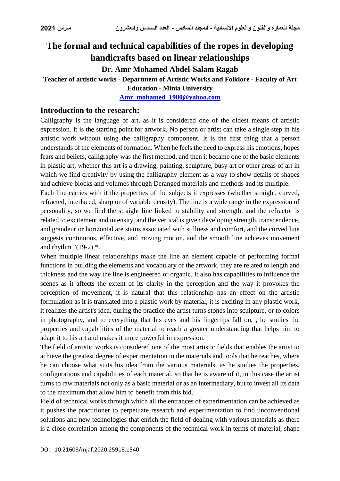# **The formal and technical capabilities of the ropes in developing handicrafts based on linear relationships**

# **Dr. Amr Mohamed Abdel-Salam Ragab**

# **Teacher of artistic works - Department of Artistic Works and Folklore - Faculty of Art**

**Education - Minia University**

**[Amr\\_mohamed\\_1980@yahoo.com](mailto:Amr_mohamed_1980@yahoo.com)**

#### **Introduction to the research:**

Calligraphy is the language of art, as it is considered one of the oldest means of artistic expression. It is the starting point for artwork. No person or artist can take a single step in his artistic work without using the calligraphy component. It is the first thing that a person understands of the elements of formation. When he feels the need to express his emotions, hopes fears and beliefs, calligraphy was the first method, and then it became one of the basic elements in plastic art, whether this art is a drawing, painting, sculpture, busy art or other areas of art in which we find creativity by using the calligraphy element as a way to show details of shapes and achieve blocks and volumes through Deranged materials and methods and its multiple.

Each line carries with it the properties of the subjects it expresses (whether straight, curved, refracted, interlaced, sharp or of variable density). The line is a wide range in the expression of personality, so we find the straight line linked to stability and strength, and the refractor is related to excitement and intensity, and the vertical is given developing strength, transcendence, and grandeur or horizontal are status associated with stillness and comfort, and the curved line suggests continuous, effective, and moving motion, and the smooth line achieves movement and rhythm "(19-2) \*.

When multiple linear relationships make the line an element capable of performing formal functions in building the elements and vocabulary of the artwork, they are related to length and thickness and the way the line is engineered or organic. It also has capabilities to influence the scenes as it affects the extent of its clarity in the perception and the way it provokes the perception of movement, it is natural that this relationship has an effect on the artistic formulation as it is translated into a plastic work by material, it is exciting in any plastic work, it realizes the artist's idea, during the practice the artist turns stones into sculpture, or to colors in photography, and to everything that his eyes and his fingertips fall on, , he studies the properties and capabilities of the material to reach a greater understanding that helps him to adapt it to his art and makes it more powerful in expression.

The field of artistic works is considered one of the most artistic fields that enables the artist to achieve the greatest degree of experimentation in the materials and tools that he reaches, where he can choose what suits his idea from the various materials, as he studies the properties, configurations and capabilities of each material, so that he is aware of it, in this case the artist turns to raw materials not only as a basic material or as an intermediary, but to invest all its data to the maximum that allow him to benefit from this bid.

Field of technical works through which all the entrances of experimentation can be achieved as it pushes the practitioner to perpetuate research and experimentation to find unconventional solutions and new technologies that enrich the field of dealing with various materials as there is a close correlation among the components of the technical work in terms of material, shape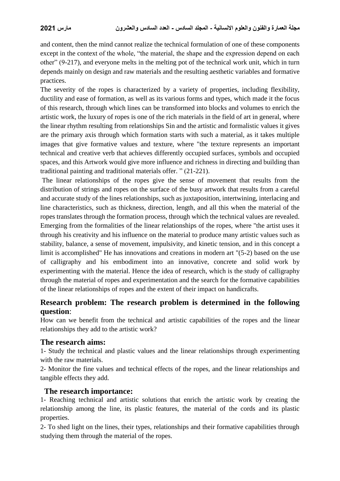and content, then the mind cannot realize the technical formulation of one of these components except in the context of the whole, "the material, the shape and the expression depend on each other" (9-217), and everyone melts in the melting pot of the technical work unit, which in turn depends mainly on design and raw materials and the resulting aesthetic variables and formative practices.

The severity of the ropes is characterized by a variety of properties, including flexibility, ductility and ease of formation, as well as its various forms and types, which made it the focus of this research, through which lines can be transformed into blocks and volumes to enrich the artistic work, the luxury of ropes is one of the rich materials in the field of art in general, where the linear rhythm resulting from relationships Sin and the artistic and formalistic values it gives are the primary axis through which formation starts with such a material, as it takes multiple images that give formative values and texture, where "the texture represents an important technical and creative verb that achieves differently occupied surfaces, symbols and occupied spaces, and this Artwork would give more influence and richness in directing and building than traditional painting and traditional materials offer. " (21-221).

The linear relationships of the ropes give the sense of movement that results from the distribution of strings and ropes on the surface of the busy artwork that results from a careful and accurate study of the lines relationships, such as juxtaposition, intertwining, interlacing and line characteristics, such as thickness, direction, length, and all this when the material of the ropes translates through the formation process, through which the technical values are revealed. Emerging from the formalities of the linear relationships of the ropes, where "the artist uses it through his creativity and his influence on the material to produce many artistic values such as stability, balance, a sense of movement, impulsivity, and kinetic tension, and in this concept a limit is accomplished" He has innovations and creations in modern art "(5-2) based on the use of calligraphy and his embodiment into an innovative, concrete and solid work by experimenting with the material. Hence the idea of research, which is the study of calligraphy through the material of ropes and experimentation and the search for the formative capabilities of the linear relationships of ropes and the extent of their impact on handicrafts.

### **Research problem: The research problem is determined in the following question**:

How can we benefit from the technical and artistic capabilities of the ropes and the linear relationships they add to the artistic work?

#### **The research aims:**

1- Study the technical and plastic values and the linear relationships through experimenting with the raw materials.

2- Monitor the fine values and technical effects of the ropes, and the linear relationships and tangible effects they add.

#### **The research importance:**

1- Reaching technical and artistic solutions that enrich the artistic work by creating the relationship among the line, its plastic features, the material of the cords and its plastic properties.

2- To shed light on the lines, their types, relationships and their formative capabilities through studying them through the material of the ropes.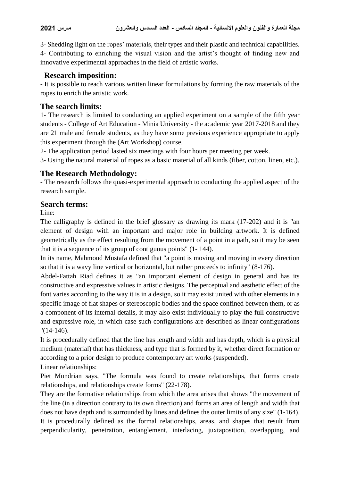3- Shedding light on the ropes' materials, their types and their plastic and technical capabilities. 4- Contributing to enriching the visual vision and the artist's thought of finding new and innovative experimental approaches in the field of artistic works.

#### **Research imposition:**

- It is possible to reach various written linear formulations by forming the raw materials of the ropes to enrich the artistic work.

#### **The search limits:**

1- The research is limited to conducting an applied experiment on a sample of the fifth year students - College of Art Education - Minia University - the academic year 2017-2018 and they are 21 male and female students, as they have some previous experience appropriate to apply this experiment through the (Art Workshop) course.

2- The application period lasted six meetings with four hours per meeting per week.

3- Using the natural material of ropes as a basic material of all kinds (fiber, cotton, linen, etc.).

#### **The Research Methodology:**

- The research follows the quasi-experimental approach to conducting the applied aspect of the research sample.

#### **Search terms:**

Line:

The calligraphy is defined in the brief glossary as drawing its mark (17-202) and it is "an element of design with an important and major role in building artwork. It is defined geometrically as the effect resulting from the movement of a point in a path, so it may be seen that it is a sequence of its group of contiguous points" (1- 144).

In its name, Mahmoud Mustafa defined that "a point is moving and moving in every direction so that it is a wavy line vertical or horizontal, but rather proceeds to infinity" (8-176).

Abdel-Fattah Riad defines it as "an important element of design in general and has its constructive and expressive values in artistic designs. The perceptual and aesthetic effect of the font varies according to the way it is in a design, so it may exist united with other elements in a specific image of flat shapes or stereoscopic bodies and the space confined between them, or as a component of its internal details, it may also exist individually to play the full constructive and expressive role, in which case such configurations are described as linear configurations "(14-146).

It is procedurally defined that the line has length and width and has depth, which is a physical medium (material) that has thickness, and type that is formed by it, whether direct formation or according to a prior design to produce contemporary art works (suspended).

Linear relationships:

Piet Mondrian says, "The formula was found to create relationships, that forms create relationships, and relationships create forms" (22-178).

They are the formative relationships from which the area arises that shows "the movement of the line (in a direction contrary to its own direction) and forms an area of length and width that does not have depth and is surrounded by lines and defines the outer limits of any size" (1-164). It is procedurally defined as the formal relationships, areas, and shapes that result from perpendicularity, penetration, entanglement, interlacing, juxtaposition, overlapping, and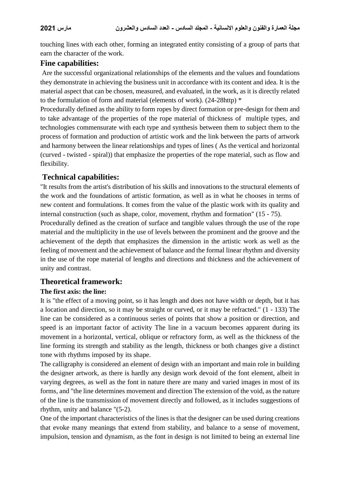touching lines with each other, forming an integrated entity consisting of a group of parts that earn the character of the work.

#### **Fine capabilities:**

Are the successful organizational relationships of the elements and the values and foundations they demonstrate in achieving the business unit in accordance with its content and idea. It is the material aspect that can be chosen, measured, and evaluated, in the work, as it is directly related to the formulation of form and material (elements of work). (24-28http) \*

Procedurally defined as the ability to form ropes by direct formation or pre-design for them and to take advantage of the properties of the rope material of thickness of multiple types, and technologies commensurate with each type and synthesis between them to subject them to the process of formation and production of artistic work and the link between the parts of artwork and harmony between the linear relationships and types of lines ( As the vertical and horizontal (curved - twisted - spiral)) that emphasize the properties of the rope material, such as flow and flexibility.

## **Technical capabilities:**

"It results from the artist's distribution of his skills and innovations to the structural elements of the work and the foundations of artistic formation, as well as in what he chooses in terms of new content and formulations. It comes from the value of the plastic work with its quality and internal construction (such as shape, color, movement, rhythm and formation" (15 - 75).

Procedurally defined as the creation of surface and tangible values through the use of the rope material and the multiplicity in the use of levels between the prominent and the groove and the achievement of the depth that emphasizes the dimension in the artistic work as well as the feeling of movement and the achievement of balance and the formal linear rhythm and diversity in the use of the rope material of lengths and directions and thickness and the achievement of unity and contrast.

#### **Theoretical framework:**

#### **The first axis: the line:**

It is "the effect of a moving point, so it has length and does not have width or depth, but it has a location and direction, so it may be straight or curved, or it may be refracted." (1 - 133) The line can be considered as a continuous series of points that show a position or direction, and speed is an important factor of activity The line in a vacuum becomes apparent during its movement in a horizontal, vertical, oblique or refractory form, as well as the thickness of the line forming its strength and stability as the length, thickness or both changes give a distinct tone with rhythms imposed by its shape.

The calligraphy is considered an element of design with an important and main role in building the designer artwork, as there is hardly any design work devoid of the font element, albeit in varying degrees, as well as the font in nature there are many and varied images in most of its forms, and "the line determines movement and direction The extension of the void, as the nature of the line is the transmission of movement directly and followed, as it includes suggestions of rhythm, unity and balance "(5-2).

One of the important characteristics of the lines is that the designer can be used during creations that evoke many meanings that extend from stability, and balance to a sense of movement, impulsion, tension and dynamism, as the font in design is not limited to being an external line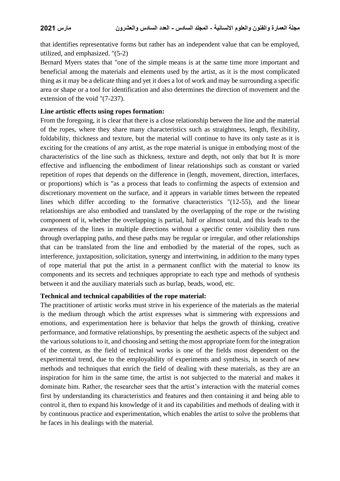that identifies representative forms but rather has an independent value that can be employed, utilized, and emphasized. "(5-2)

Bernard Myers states that "one of the simple means is at the same time more important and beneficial among the materials and elements used by the artist, as it is the most complicated thing as it may be a delicate thing and yet it does a lot of work and may be surrounding a specific area or shape or a tool for identification and also determines the direction of movement and the extension of the void "(7-237).

#### **Line artistic effects using ropes formation:**

From the foregoing, it is clear that there is a close relationship between the line and the material of the ropes, where they share many characteristics such as straightness, length, flexibility, foldability, thickness and texture, but the material will continue to have its only taste as it is exciting for the creations of any artist, as the rope material is unique in embodying most of the characteristics of the line such as thickness, texture and depth, not only that but It is more effective and influencing the embodiment of linear relationships such as constant or varied repetition of ropes that depends on the difference in (length, movement, direction, interfaces, or proportions) which is "as a process that leads to confirming the aspects of extension and discretionary movement on the surface, and it appears in variable times between the repeated lines which differ according to the formative characteristics "(12-55), and the linear relationships are also embodied and translated by the overlapping of the rope or the twisting component of it, whether the overlapping is partial, half or almost total, and this leads to the awareness of the lines in multiple directions without a specific center visibility then runs through overlapping paths, and these paths may be regular or irregular, and other relationships that can be translated from the line and embodied by the material of the ropes, such as interference, juxtaposition, solicitation, synergy and intertwining, in addition to the many types of rope material that put the artist in a permanent conflict with the material to know its components and its secrets and techniques appropriate to each type and methods of synthesis between it and the auxiliary materials such as burlap, beads, wood, etc.

#### **Technical and technical capabilities of the rope material:**

The practitioner of artistic works must strive in his experience of the materials as the material is the medium through which the artist expresses what is simmering with expressions and emotions, and experimentation here is behavior that helps the growth of thinking, creative performance, and formative relationships, by presenting the aesthetic aspects of the subject and the various solutions to it, and choosing and setting the most appropriate form for the integration of the content, as the field of technical works is one of the fields most dependent on the experimental trend, due to the employability of experiments and synthesis, in search of new methods and techniques that enrich the field of dealing with these materials, as they are an inspiration for him in the same time, the artist is not subjected to the material and makes it dominate him. Rather, the researcher sees that the artist's interaction with the material comes first by understanding its characteristics and features and then containing it and being able to control it, then to expand his knowledge of it and its capabilities and methods of dealing with it by continuous practice and experimentation, which enables the artist to solve the problems that he faces in his dealings with the material.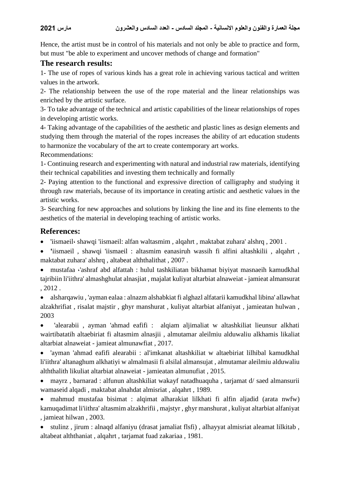Hence, the artist must be in control of his materials and not only be able to practice and form, but must "be able to experiment and uncover methods of change and formation"

#### **The research results:**

1- The use of ropes of various kinds has a great role in achieving various tactical and written values in the artwork.

2- The relationship between the use of the rope material and the linear relationships was enriched by the artistic surface.

3- To take advantage of the technical and artistic capabilities of the linear relationships of ropes in developing artistic works.

4- Taking advantage of the capabilities of the aesthetic and plastic lines as design elements and studying them through the material of the ropes increases the ability of art education students to harmonize the vocabulary of the art to create contemporary art works.

Recommendations:

1- Continuing research and experimenting with natural and industrial raw materials, identifying their technical capabilities and investing them technically and formally

2- Paying attention to the functional and expressive direction of calligraphy and studying it through raw materials, because of its importance in creating artistic and aesthetic values in the artistic works.

3- Searching for new approaches and solutions by linking the line and its fine elements to the aesthetics of the material in developing teaching of artistic works.

#### **References:**

'iismaeil، shawqi 'iismaeil: alfan waltasmim , alqahrt , maktabat zuhara' alshrq , 2001 .

 **'**iismaeil , shawqi 'iismaeil : altasmim eanasiruh wassih fi alfini altashkilii , alqahrt , maktabat zuhara' alshrq , altabeat alththalithat , 2007 .

 mustafaa ،'ashraf abd alfattah : hulul tashkiliatan bikhamat biyiyat masnaeih kamudkhal tajribiin li'iithra' almashghulat alnasjiat , majalat kuliyat altarbiat alnaweiat - jamieat almansurat , 2012 .

 alsharqawiu , 'ayman ealaa : alnazm alshabkiat fi alghazl alfatarii kamudkhal libina' allawhat alzakhrifiat , risalat majstir , ghyr manshurat , kuliyat altarbiat alfaniyat , jamieatan hulwan , 2003

 'alearabii , ayman 'ahmad eafifi : alqiam aljimaliat w altashkiliat lieunsur alkhati wairtibatatih altaebiriat fi altasmim alnasjii , almutamar aleilmiu alduwaliu alkhamis likaliat altarbiat alnaweiat - jamieat almunawfiat , 2017.

 'ayman 'ahmad eafifi alearabii : al'imkanat altashkiliat w altaebiriat lilhibal kamudkhal li'iithra' altanaghum alkhatiyi w almalmasii fi alsilal almansujat , almutamar aleilmiu alduwaliu alththalith likuliat altarbiat alnaweiat - jamieatan almunufiat , 2015.

 mayrz , barnarad : alfunun altashkiliat wakayf natadhuaquha , tarjamat d/ saed almansurii wamaseid alqadi , maktabat alnahdat almisriat , alqahrt , 1989.

 mahmud mustafaa bisimat : alqimat alharakiat lilkhati fi alfin aljadid (arata nwfw) kamuqadimat li'iithra' altasmim alzakhrifii , majstyr , ghyr manshurat , kuliyat altarbiat alfaniyat , jamieat hilwan , 2003.

 stulinz , jirum : alnaqd alfaniyu (drasat jamaliat flsfi) , alhayyat almisriat aleamat lilkitab , altabeat alththaniat , alqahrt , tarjamat fuad zakariaa , 1981.